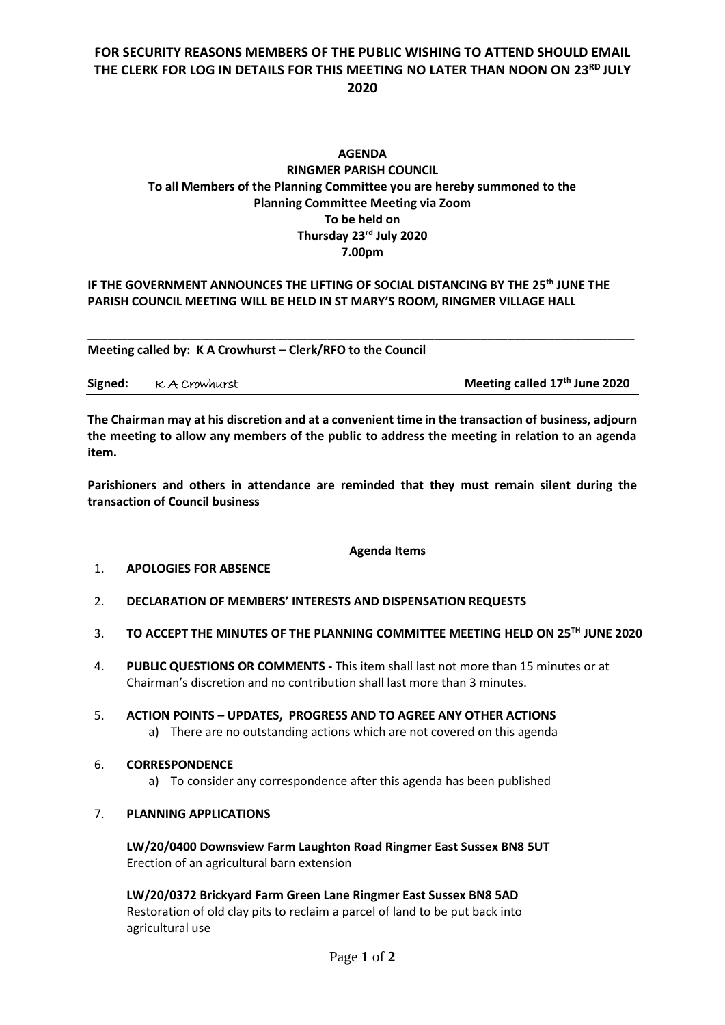## **FOR SECURITY REASONS MEMBERS OF THE PUBLIC WISHING TO ATTEND SHOULD EMAIL THE CLERK FOR LOG IN DETAILS FOR THIS MEETING NO LATER THAN NOON ON 23RD JULY 2020**

### **AGENDA RINGMER PARISH COUNCIL To all Members of the Planning Committee you are hereby summoned to the Planning Committee Meeting via Zoom To be held on Thursday 23 rd July 2020 7.00pm**

#### **IF THE GOVERNMENT ANNOUNCES THE LIFTING OF SOCIAL DISTANCING BY THE 25 th JUNE THE PARISH COUNCIL MEETING WILL BE HELD IN ST MARY'S ROOM, RINGMER VILLAGE HALL**

**Meeting called by: K A Crowhurst – Clerk/RFO to the Council** 

| Signed: KA Crowhurst | Meeting called 17 <sup>th</sup> June 2020 |
|----------------------|-------------------------------------------|
|                      |                                           |

\_\_\_\_\_\_\_\_\_\_\_\_\_\_\_\_\_\_\_\_\_\_\_\_\_\_\_\_\_\_\_\_\_\_\_\_\_\_\_\_\_\_\_\_\_\_\_\_\_\_\_\_\_\_\_\_\_\_\_\_\_\_\_\_\_\_\_\_\_\_\_\_\_\_\_\_\_\_\_\_\_\_

**The Chairman may at his discretion and at a convenient time in the transaction of business, adjourn the meeting to allow any members of the public to address the meeting in relation to an agenda item.**

**Parishioners and others in attendance are reminded that they must remain silent during the transaction of Council business**

#### **Agenda Items**

#### 1. **APOLOGIES FOR ABSENCE**

- 2. **DECLARATION OF MEMBERS' INTERESTS AND DISPENSATION REQUESTS**
- 3. **TO ACCEPT THE MINUTES OF THE PLANNING COMMITTEE MEETING HELD ON 25TH JUNE 2020**
- 4. **PUBLIC QUESTIONS OR COMMENTS -** This item shall last not more than 15 minutes or at Chairman's discretion and no contribution shall last more than 3 minutes.
- 5. **ACTION POINTS – UPDATES, PROGRESS AND TO AGREE ANY OTHER ACTIONS** a) There are no outstanding actions which are not covered on this agenda

#### 6. **CORRESPONDENCE**

a) To consider any correspondence after this agenda has been published

#### 7. **PLANNING APPLICATIONS**

**LW/20/0400 Downsview Farm Laughton Road Ringmer East Sussex BN8 5UT** Erection of an agricultural barn extension

**LW/20/0372 Brickyard Farm Green Lane Ringmer East Sussex BN8 5AD** Restoration of old clay pits to reclaim a parcel of land to be put back into agricultural use